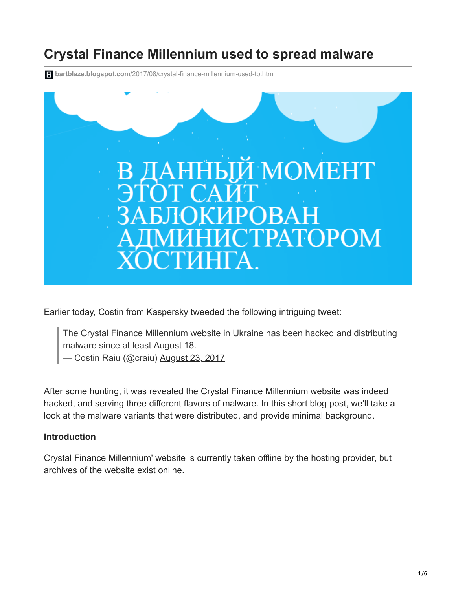# **Crystal Finance Millennium used to spread malware**

**bartblaze.blogspot.com**[/2017/08/crystal-finance-millennium-used-to.html](https://bartblaze.blogspot.com/2017/08/crystal-finance-millennium-used-to.html)



Earlier today, Costin from Kaspersky tweeded the following intriguing tweet:

The Crystal Finance Millennium website in Ukraine has been hacked and distributing malware since at least August 18.

— Costin Raiu (@craiu) [August 23, 2017](https://twitter.com/craiu/status/900302689128656896)

After some hunting, it was revealed the Crystal Finance Millennium website was indeed hacked, and serving three different flavors of malware. In this short blog post, we'll take a look at the malware variants that were distributed, and provide minimal background.

### **Introduction**

Crystal Finance Millennium' website is currently taken offline by the hosting provider, but archives of the website exist online.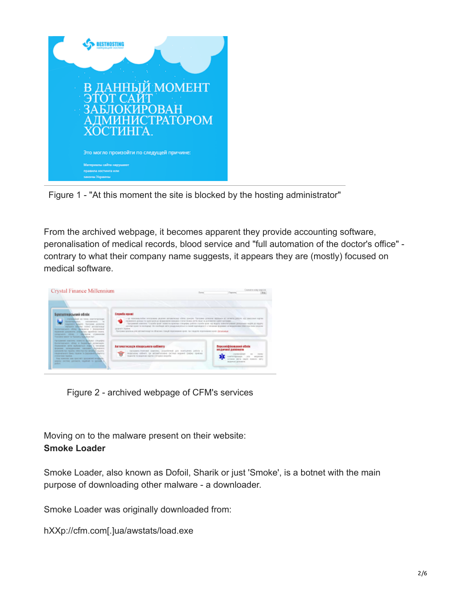

Figure 1 - "At this moment the site is blocked by the hosting administrator"

From the archived webpage, it becomes apparent they provide accounting software, peronalisation of medical records, blood service and "full automation of the doctor's office" contrary to what their company name suggests, it appears they are (mostly) focused on medical software.

| Crystal Finance Millennium                                                                                                                                                                                                                                                                                                                                                                                                                                                                                                                                                                                                                                                                                                                                                                                                           | <b>Torist</b>                                                                                                                                                                                                                                                                                                                                                                                                                                                                                                                                                                                                                                 | CAINEER HORY INDICK<br><b>Carriers</b>                                                                                                                         |
|--------------------------------------------------------------------------------------------------------------------------------------------------------------------------------------------------------------------------------------------------------------------------------------------------------------------------------------------------------------------------------------------------------------------------------------------------------------------------------------------------------------------------------------------------------------------------------------------------------------------------------------------------------------------------------------------------------------------------------------------------------------------------------------------------------------------------------------|-----------------------------------------------------------------------------------------------------------------------------------------------------------------------------------------------------------------------------------------------------------------------------------------------------------------------------------------------------------------------------------------------------------------------------------------------------------------------------------------------------------------------------------------------------------------------------------------------------------------------------------------------|----------------------------------------------------------------------------------------------------------------------------------------------------------------|
| Бухгалтерський облік<br>- representation and remain american property<br>Occurrencies considered to<br>assumes access receives concess<br>Ascenta deligion consid actualizata<br>больтизомат общу приняти у развешних<br>recomment accountable problems again and record.<br>OUNCASTE ATLANT & SERVICE STORAGED<br>Testores' paint to "hallowy humans in "<br>Facturered southest hometer Markets complete<br>forecreateurs ofcey a featuring constructs.<br>freezoners rathe sichrames state a torontal<br>болезни затигдженные николинго большего<br>significant that Valuation Editor Institute discussion's valuation.<br>Haybelness Sexu Hose to bipole-official/w/VV<br><b>IT STATISTICS CREATING</b><br>Fina sourcest and knockel i government a support.<br>carping method patientific excellent to specially it<br>policin. | Grypola spoul<br>- це познавалибие впозоване разомо автомачений обязо доково. Просним деволют вершили во жечести работи на замосния картин<br>Леранного докора Га сдач кроя до формулано электров статистичны воти лици по доложето клией протраже<br>₩<br>Гроссиим) композ: "Служба крат помета вражал стацијах; робоч служба крат во водот компонувани деновимо кадеа до вдуку<br>ANYWE HOW TO INCREASE THE HISTORY WAS COMPANYWED A FORME ADVOCATOR & TRENDING AN INSURANCE OF BUSINESS RESIDENCE.<br>SENIOR'S DESIGNAL<br>Програма шлопом для автоматикам) за обласник стомую плоноводного коля, так с водоле плонованиях коня. Дезарьяще |                                                                                                                                                                |
|                                                                                                                                                                                                                                                                                                                                                                                                                                                                                                                                                                                                                                                                                                                                                                                                                                      | Автомотироція пікарського кабінета<br>- recopieres-transverà abattires, paquellemai già nontiurerà pobilia a<br>manueler others up attemptedes octain super paper species<br>magine's to season as excess a leveline meandle.                                                                                                                                                                                                                                                                                                                                                                                                                 | <b>Besconichtereamen ofinie</b><br>индичної давеноги<br>CASHACULER<br><b>HAFWEIGHARD</b><br><b>ARCHIVES</b><br>VIRGI MOS SALES SORGIO MIV<br>MISSAUL AVAILABLE |

Figure 2 - archived webpage of CFM's services

Moving on to the malware present on their website: **Smoke Loader**

Smoke Loader, also known as Dofoil, Sharik or just 'Smoke', is a botnet with the main purpose of downloading other malware - a downloader.

Smoke Loader was originally downloaded from:

hXXp://cfm.com[.]ua/awstats/load.exe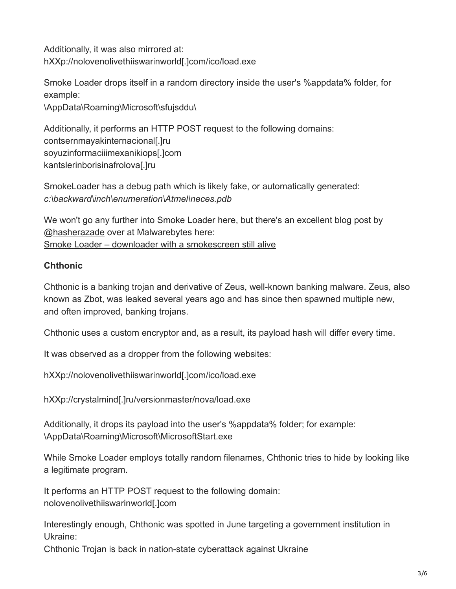Additionally, it was also mirrored at: hXXp://nolovenolivethiiswarinworld[.]com/ico/load.exe

Smoke Loader drops itself in a random directory inside the user's %appdata% folder, for example:

\AppData\Roaming\Microsoft\sfujsddu\

Additionally, it performs an HTTP POST request to the following domains: contsernmayakinternacional[.]ru soyuzinformaciiimexanikiops[.]com kantslerinborisinafrolova[.]ru

SmokeLoader has a debug path which is likely fake, or automatically generated: *c:\backward\inch\enumeration\Atmel\neces.pdb*

We won't go any further into Smoke Loader here, but there's an excellent blog post by [@hasherazade](https://twitter.com/hasherezade) over at Malwarebytes here: [Smoke Loader – downloader with a smokescreen still alive](https://blog.malwarebytes.com/threat-analysis/2016/08/smoke-loader-downloader-with-a-smokescreen-still-alive/)

## **Chthonic**

Chthonic is a banking trojan and derivative of Zeus, well-known banking malware. Zeus, also known as Zbot, was leaked several years ago and has since then spawned multiple new, and often improved, banking trojans.

Chthonic uses a custom encryptor and, as a result, its payload hash will differ every time.

It was observed as a dropper from the following websites:

hXXp://nolovenolivethiiswarinworld[.]com/ico/load.exe

hXXp://crystalmind[.]ru/versionmaster/nova/load.exe

Additionally, it drops its payload into the user's %appdata% folder; for example: \AppData\Roaming\Microsoft\MicrosoftStart.exe

While Smoke Loader employs totally random filenames, Chthonic tries to hide by looking like a legitimate program.

It performs an HTTP POST request to the following domain: nolovenolivethiiswarinworld[.]com

Interestingly enough, Chthonic was spotted in June targeting a government institution in Ukraine:

[Chthonic Trojan is back in nation-state cyberattack against Ukraine](https://nioguard.blogspot.co.uk/2017/06/chthonic-trojan-is-back-in-nation-state.html)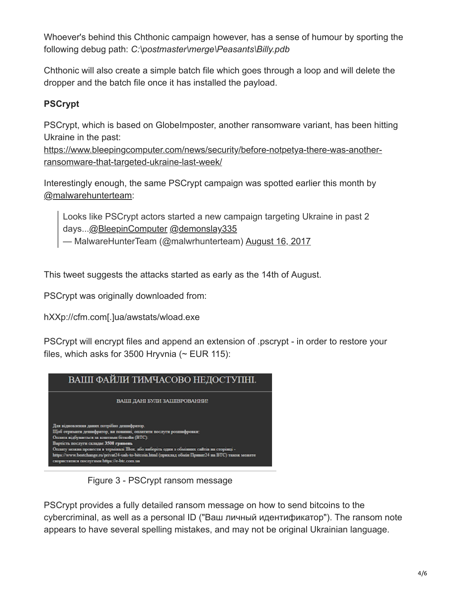Whoever's behind this Chthonic campaign however, has a sense of humour by sporting the following debug path: *C:\postmaster\merge\Peasants\Billy.pdb*

Chthonic will also create a simple batch file which goes through a loop and will delete the dropper and the batch file once it has installed the payload.

# **PSCrypt**

PSCrypt, which is based on GlobeImposter, another ransomware variant, has been hitting Ukraine in the past:

[https://www.bleepingcomputer.com/news/security/before-notpetya-there-was-another](https://www.bleepingcomputer.com/news/security/before-notpetya-there-was-another-ransomware-that-targeted-ukraine-last-week/)ransomware-that-targeted-ukraine-last-week/

Interestingly enough, the same PSCrypt campaign was spotted earlier this month by [@malwarehunterteam](https://twitter.com/malwrhunterteam):

Looks like PSCrypt actors started a new campaign targeting Ukraine in past 2 days...[@BleepinComputer](https://twitter.com/BleepinComputer) [@demonslay335](https://twitter.com/demonslay335)

— MalwareHunterTeam (@malwrhunterteam) [August 16, 2017](https://twitter.com/malwrhunterteam/status/897746418244485120)

This tweet suggests the attacks started as early as the 14th of August.

PSCrypt was originally downloaded from:

hXXp://cfm.com[.]ua/awstats/wload.exe

PSCrypt will encrypt files and append an extension of .pscrypt - in order to restore your files, which asks for 3500 Hryvnia ( $\sim$  EUR 115):



Figure 3 - PSCrypt ransom message

PSCrypt provides a fully detailed ransom message on how to send bitcoins to the cybercriminal, as well as a personal ID ("Ваш личный идентификатор"). The ransom note appears to have several spelling mistakes, and may not be original Ukrainian language.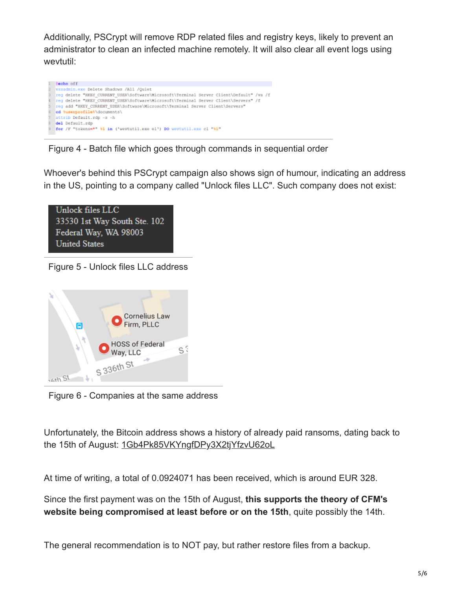Additionally, PSCrypt will remove RDP related files and registry keys, likely to prevent an administrator to clean an infected machine remotely. It will also clear all event logs using wevtutil:



Figure 4 - Batch file which goes through commands in sequential order

Whoever's behind this PSCrypt campaign also shows sign of humour, indicating an address in the US, pointing to a company called "Unlock files LLC". Such company does not exist:



Figure 5 - Unlock files LLC address



Figure 6 - Companies at the same address

Unfortunately, the Bitcoin address shows a history of already paid ransoms, dating back to the 15th of August: [1Gb4Pk85VKYngfDPy3X2tjYfzvU62oL](https://blockchain.info/address/1Gb4Pk85VKYngfDPy3X2tjYfzvU62oLnas)

At time of writing, a total of 0.0924071 has been received, which is around EUR 328.

Since the first payment was on the 15th of August, **this supports the theory of CFM's website being compromised at least before or on the 15th**, quite possibly the 14th.

The general recommendation is to NOT pay, but rather restore files from a backup.